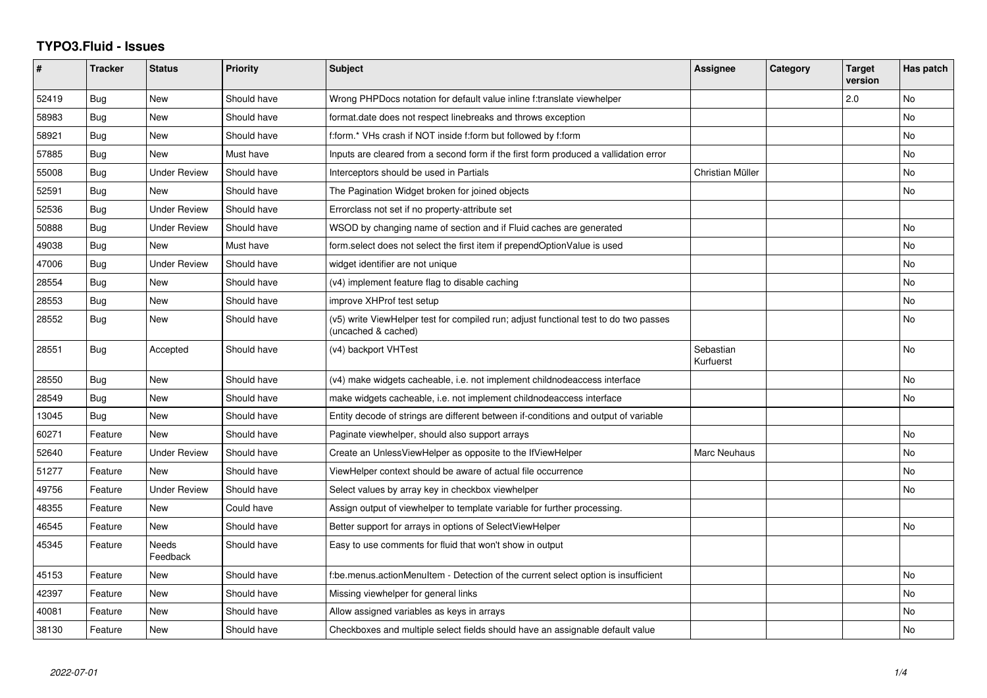## **TYPO3.Fluid - Issues**

| #     | <b>Tracker</b> | <b>Status</b>       | <b>Priority</b> | <b>Subject</b>                                                                                              | Assignee               | Category | <b>Target</b><br>version | <b>Has patch</b> |
|-------|----------------|---------------------|-----------------|-------------------------------------------------------------------------------------------------------------|------------------------|----------|--------------------------|------------------|
| 52419 | Bug            | <b>New</b>          | Should have     | Wrong PHPDocs notation for default value inline f:translate viewhelper                                      |                        |          | 2.0                      | <b>No</b>        |
| 58983 | Bug            | New                 | Should have     | format.date does not respect linebreaks and throws exception                                                |                        |          |                          | No.              |
| 58921 | Bug            | New                 | Should have     | f:form.* VHs crash if NOT inside f:form but followed by f:form                                              |                        |          |                          | No               |
| 57885 | Bug            | New                 | Must have       | Inputs are cleared from a second form if the first form produced a vallidation error                        |                        |          |                          | No               |
| 55008 | Bug            | <b>Under Review</b> | Should have     | Interceptors should be used in Partials                                                                     | Christian Müller       |          |                          | <b>No</b>        |
| 52591 | Bug            | New                 | Should have     | The Pagination Widget broken for joined objects                                                             |                        |          |                          | <b>No</b>        |
| 52536 | Bug            | <b>Under Review</b> | Should have     | Errorclass not set if no property-attribute set                                                             |                        |          |                          |                  |
| 50888 | Bug            | <b>Under Review</b> | Should have     | WSOD by changing name of section and if Fluid caches are generated                                          |                        |          |                          | No               |
| 49038 | Bug            | <b>New</b>          | Must have       | form.select does not select the first item if prependOptionValue is used                                    |                        |          |                          | <b>No</b>        |
| 47006 | Bug            | Under Review        | Should have     | widget identifier are not unique                                                                            |                        |          |                          | No.              |
| 28554 | <b>Bug</b>     | New                 | Should have     | (v4) implement feature flag to disable caching                                                              |                        |          |                          | <b>No</b>        |
| 28553 | Bug            | New                 | Should have     | improve XHProf test setup                                                                                   |                        |          |                          | No               |
| 28552 | <b>Bug</b>     | New                 | Should have     | (v5) write ViewHelper test for compiled run; adjust functional test to do two passes<br>(uncached & cached) |                        |          |                          | No               |
| 28551 | Bug            | Accepted            | Should have     | (v4) backport VHTest                                                                                        | Sebastian<br>Kurfuerst |          |                          | No.              |
| 28550 | Bug            | New                 | Should have     | (v4) make widgets cacheable, i.e. not implement childnodeaccess interface                                   |                        |          |                          | No               |
| 28549 | <b>Bug</b>     | New                 | Should have     | make widgets cacheable, i.e. not implement childnodeaccess interface                                        |                        |          |                          | <b>No</b>        |
| 13045 | Bug            | New                 | Should have     | Entity decode of strings are different between if-conditions and output of variable                         |                        |          |                          |                  |
| 60271 | Feature        | <b>New</b>          | Should have     | Paginate viewhelper, should also support arrays                                                             |                        |          |                          | No               |
| 52640 | Feature        | <b>Under Review</b> | Should have     | Create an UnlessViewHelper as opposite to the IfViewHelper                                                  | Marc Neuhaus           |          |                          | No               |
| 51277 | Feature        | New                 | Should have     | ViewHelper context should be aware of actual file occurrence                                                |                        |          |                          | <b>No</b>        |
| 49756 | Feature        | <b>Under Review</b> | Should have     | Select values by array key in checkbox viewhelper                                                           |                        |          |                          | <b>No</b>        |
| 48355 | Feature        | New                 | Could have      | Assign output of viewhelper to template variable for further processing.                                    |                        |          |                          |                  |
| 46545 | Feature        | New                 | Should have     | Better support for arrays in options of SelectViewHelper                                                    |                        |          |                          | No               |
| 45345 | Feature        | Needs<br>Feedback   | Should have     | Easy to use comments for fluid that won't show in output                                                    |                        |          |                          |                  |
| 45153 | Feature        | New                 | Should have     | f:be.menus.actionMenuItem - Detection of the current select option is insufficient                          |                        |          |                          | No               |
| 42397 | Feature        | New                 | Should have     | Missing viewhelper for general links                                                                        |                        |          |                          | <b>No</b>        |
| 40081 | Feature        | New                 | Should have     | Allow assigned variables as keys in arrays                                                                  |                        |          |                          | No               |
| 38130 | Feature        | <b>New</b>          | Should have     | Checkboxes and multiple select fields should have an assignable default value                               |                        |          |                          | No               |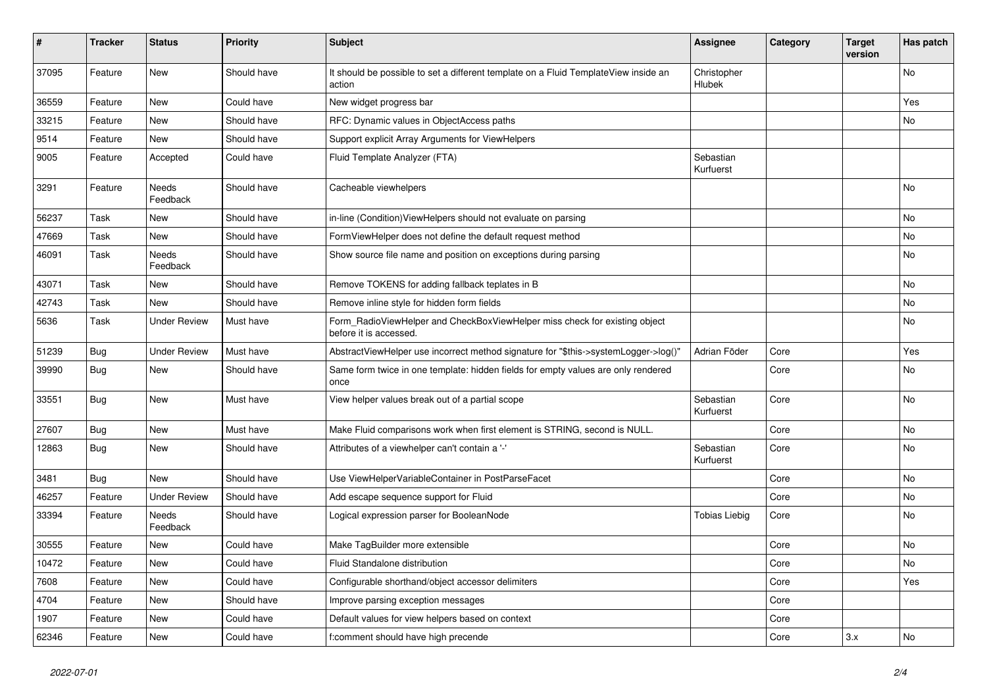| #     | <b>Tracker</b> | <b>Status</b>       | <b>Priority</b> | <b>Subject</b>                                                                                       | <b>Assignee</b>        | Category | <b>Target</b><br>version | Has patch |
|-------|----------------|---------------------|-----------------|------------------------------------------------------------------------------------------------------|------------------------|----------|--------------------------|-----------|
| 37095 | Feature        | <b>New</b>          | Should have     | It should be possible to set a different template on a Fluid TemplateView inside an<br>action        | Christopher<br>Hlubek  |          |                          | <b>No</b> |
| 36559 | Feature        | New                 | Could have      | New widget progress bar                                                                              |                        |          |                          | Yes       |
| 33215 | Feature        | New                 | Should have     | RFC: Dynamic values in ObjectAccess paths                                                            |                        |          |                          | No        |
| 9514  | Feature        | <b>New</b>          | Should have     | Support explicit Array Arguments for ViewHelpers                                                     |                        |          |                          |           |
| 9005  | Feature        | Accepted            | Could have      | Fluid Template Analyzer (FTA)                                                                        | Sebastian<br>Kurfuerst |          |                          |           |
| 3291  | Feature        | Needs<br>Feedback   | Should have     | Cacheable viewhelpers                                                                                |                        |          |                          | No        |
| 56237 | Task           | New                 | Should have     | in-line (Condition) View Helpers should not evaluate on parsing                                      |                        |          |                          | No        |
| 47669 | Task           | New                 | Should have     | FormViewHelper does not define the default request method                                            |                        |          |                          | No        |
| 46091 | Task           | Needs<br>Feedback   | Should have     | Show source file name and position on exceptions during parsing                                      |                        |          |                          | No        |
| 43071 | Task           | New                 | Should have     | Remove TOKENS for adding fallback teplates in B                                                      |                        |          |                          | No        |
| 42743 | Task           | New                 | Should have     | Remove inline style for hidden form fields                                                           |                        |          |                          | No        |
| 5636  | Task           | <b>Under Review</b> | Must have       | Form RadioViewHelper and CheckBoxViewHelper miss check for existing object<br>before it is accessed. |                        |          |                          | No        |
| 51239 | Bug            | <b>Under Review</b> | Must have       | AbstractViewHelper use incorrect method signature for "\$this->systemLogger->log()"                  | Adrian Föder           | Core     |                          | Yes       |
| 39990 | Bug            | New                 | Should have     | Same form twice in one template: hidden fields for empty values are only rendered<br>once            |                        | Core     |                          | No        |
| 33551 | <b>Bug</b>     | <b>New</b>          | Must have       | View helper values break out of a partial scope                                                      | Sebastian<br>Kurfuerst | Core     |                          | <b>No</b> |
| 27607 | Bug            | New                 | Must have       | Make Fluid comparisons work when first element is STRING, second is NULL.                            |                        | Core     |                          | No        |
| 12863 | Bug            | New                 | Should have     | Attributes of a viewhelper can't contain a '-'                                                       | Sebastian<br>Kurfuerst | Core     |                          | No        |
| 3481  | Bug            | <b>New</b>          | Should have     | Use ViewHelperVariableContainer in PostParseFacet                                                    |                        | Core     |                          | No        |
| 46257 | Feature        | <b>Under Review</b> | Should have     | Add escape sequence support for Fluid                                                                |                        | Core     |                          | No        |
| 33394 | Feature        | Needs<br>Feedback   | Should have     | Logical expression parser for BooleanNode                                                            | <b>Tobias Liebig</b>   | Core     |                          | No        |
| 30555 | Feature        | <b>New</b>          | Could have      | Make TagBuilder more extensible                                                                      |                        | Core     |                          | No        |
| 10472 | Feature        | <b>New</b>          | Could have      | Fluid Standalone distribution                                                                        |                        | Core     |                          | No        |
| 7608  | Feature        | New                 | Could have      | Configurable shorthand/object accessor delimiters                                                    |                        | Core     |                          | Yes       |
| 4704  | Feature        | New                 | Should have     | Improve parsing exception messages                                                                   |                        | Core     |                          |           |
| 1907  | Feature        | New                 | Could have      | Default values for view helpers based on context                                                     |                        | Core     |                          |           |
| 62346 | Feature        | New                 | Could have      | f:comment should have high precende                                                                  |                        | Core     | 3.x                      | No        |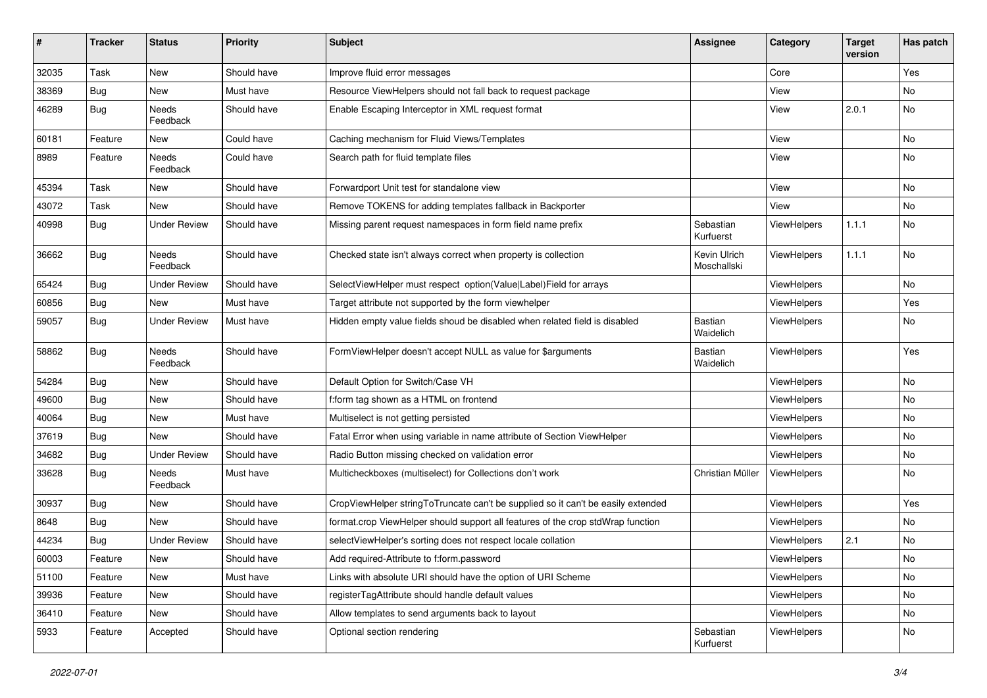| #     | <b>Tracker</b> | <b>Status</b>            | <b>Priority</b> | Subject                                                                          | <b>Assignee</b>             | Category           | <b>Target</b><br>version | Has patch |
|-------|----------------|--------------------------|-----------------|----------------------------------------------------------------------------------|-----------------------------|--------------------|--------------------------|-----------|
| 32035 | Task           | <b>New</b>               | Should have     | Improve fluid error messages                                                     |                             | Core               |                          | Yes       |
| 38369 | <b>Bug</b>     | New                      | Must have       | Resource ViewHelpers should not fall back to request package                     |                             | View               |                          | No        |
| 46289 | <b>Bug</b>     | Needs<br>Feedback        | Should have     | Enable Escaping Interceptor in XML request format                                |                             | View               | 2.0.1                    | No        |
| 60181 | Feature        | New                      | Could have      | Caching mechanism for Fluid Views/Templates                                      |                             | View               |                          | No        |
| 8989  | Feature        | <b>Needs</b><br>Feedback | Could have      | Search path for fluid template files                                             |                             | View               |                          | No        |
| 45394 | Task           | New                      | Should have     | Forwardport Unit test for standalone view                                        |                             | View               |                          | No        |
| 43072 | Task           | New                      | Should have     | Remove TOKENS for adding templates fallback in Backporter                        |                             | View               |                          | No        |
| 40998 | Bug            | <b>Under Review</b>      | Should have     | Missing parent request namespaces in form field name prefix                      | Sebastian<br>Kurfuerst      | ViewHelpers        | 1.1.1                    | No        |
| 36662 | Bug            | Needs<br>Feedback        | Should have     | Checked state isn't always correct when property is collection                   | Kevin Ulrich<br>Moschallski | ViewHelpers        | 1.1.1                    | <b>No</b> |
| 65424 | Bug            | <b>Under Review</b>      | Should have     | SelectViewHelper must respect option(Value Label)Field for arrays                |                             | ViewHelpers        |                          | No        |
| 60856 | Bug            | New                      | Must have       | Target attribute not supported by the form viewhelper                            |                             | ViewHelpers        |                          | Yes       |
| 59057 | Bug            | <b>Under Review</b>      | Must have       | Hidden empty value fields shoud be disabled when related field is disabled       | Bastian<br>Waidelich        | <b>ViewHelpers</b> |                          | No        |
| 58862 | Bug            | Needs<br>Feedback        | Should have     | FormViewHelper doesn't accept NULL as value for \$arguments                      | Bastian<br>Waidelich        | ViewHelpers        |                          | Yes       |
| 54284 | Bug            | <b>New</b>               | Should have     | Default Option for Switch/Case VH                                                |                             | ViewHelpers        |                          | No        |
| 49600 | <b>Bug</b>     | New                      | Should have     | f:form tag shown as a HTML on frontend                                           |                             | ViewHelpers        |                          | No        |
| 40064 | Bug            | New                      | Must have       | Multiselect is not getting persisted                                             |                             | ViewHelpers        |                          | No        |
| 37619 | Bug            | New                      | Should have     | Fatal Error when using variable in name attribute of Section ViewHelper          |                             | ViewHelpers        |                          | No        |
| 34682 | Bug            | <b>Under Review</b>      | Should have     | Radio Button missing checked on validation error                                 |                             | ViewHelpers        |                          | No        |
| 33628 | <b>Bug</b>     | Needs<br>Feedback        | Must have       | Multicheckboxes (multiselect) for Collections don't work                         | Christian Müller            | ViewHelpers        |                          | No        |
| 30937 | Bug            | New                      | Should have     | CropViewHelper stringToTruncate can't be supplied so it can't be easily extended |                             | ViewHelpers        |                          | Yes       |
| 8648  | Bug            | <b>New</b>               | Should have     | format.crop ViewHelper should support all features of the crop stdWrap function  |                             | ViewHelpers        |                          | No        |
| 44234 | Bug            | <b>Under Review</b>      | Should have     | selectViewHelper's sorting does not respect locale collation                     |                             | ViewHelpers        | 2.1                      | No        |
| 60003 | Feature        | New                      | Should have     | Add required-Attribute to f:form.password                                        |                             | ViewHelpers        |                          | No        |
| 51100 | Feature        | New                      | Must have       | Links with absolute URI should have the option of URI Scheme                     |                             | ViewHelpers        |                          | No        |
| 39936 | Feature        | New                      | Should have     | registerTagAttribute should handle default values                                |                             | ViewHelpers        |                          | No        |
| 36410 | Feature        | New                      | Should have     | Allow templates to send arguments back to layout                                 |                             | ViewHelpers        |                          | No        |
| 5933  | Feature        | Accepted                 | Should have     | Optional section rendering                                                       | Sebastian<br>Kurfuerst      | ViewHelpers        |                          | No        |